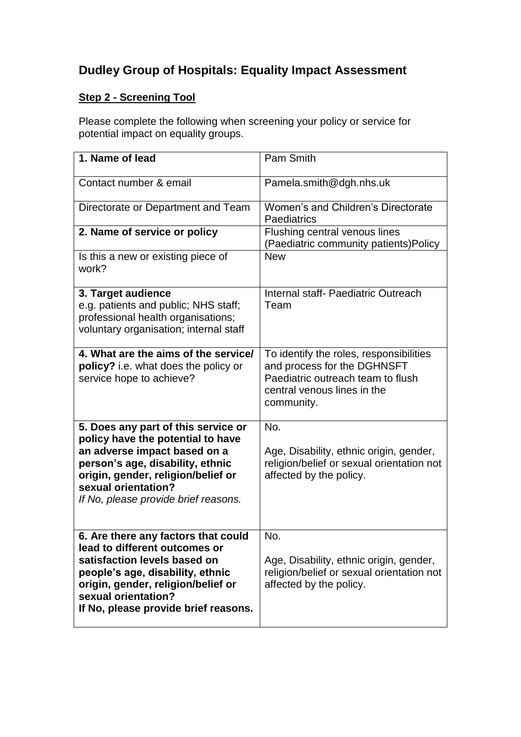## **Dudley Group of Hospitals: Equality Impact Assessment**

## **Step 2 - Screening Tool**

Please complete the following when screening your policy or service for potential impact on equality groups.

| 1. Name of lead                                                                                                                                                                                                                                   | Pam Smith                                                                                                                                                |
|---------------------------------------------------------------------------------------------------------------------------------------------------------------------------------------------------------------------------------------------------|----------------------------------------------------------------------------------------------------------------------------------------------------------|
| Contact number & email                                                                                                                                                                                                                            | Pamela.smith@dgh.nhs.uk                                                                                                                                  |
| Directorate or Department and Team                                                                                                                                                                                                                | Women's and Children's Directorate<br>Paediatrics                                                                                                        |
| 2. Name of service or policy                                                                                                                                                                                                                      | Flushing central venous lines<br>(Paediatric community patients) Policy                                                                                  |
| Is this a new or existing piece of<br>work?                                                                                                                                                                                                       | <b>New</b>                                                                                                                                               |
| 3. Target audience<br>e.g. patients and public; NHS staff;<br>professional health organisations;<br>voluntary organisation; internal staff                                                                                                        | Internal staff- Paediatric Outreach<br>Team                                                                                                              |
| 4. What are the aims of the service/<br>policy? i.e. what does the policy or<br>service hope to achieve?                                                                                                                                          | To identify the roles, responsibilities<br>and process for the DGHNSFT<br>Paediatric outreach team to flush<br>central venous lines in the<br>community. |
| 5. Does any part of this service or<br>policy have the potential to have<br>an adverse impact based on a<br>person's age, disability, ethnic<br>origin, gender, religion/belief or<br>sexual orientation?<br>If No, please provide brief reasons. | No.<br>Age, Disability, ethnic origin, gender,<br>religion/belief or sexual orientation not<br>affected by the policy.                                   |
| 6. Are there any factors that could<br>lead to different outcomes or<br>satisfaction levels based on<br>people's age, disability, ethnic<br>origin, gender, religion/belief or<br>sexual orientation?<br>If No, please provide brief reasons.     | No.<br>Age, Disability, ethnic origin, gender,<br>religion/belief or sexual orientation not<br>affected by the policy.                                   |